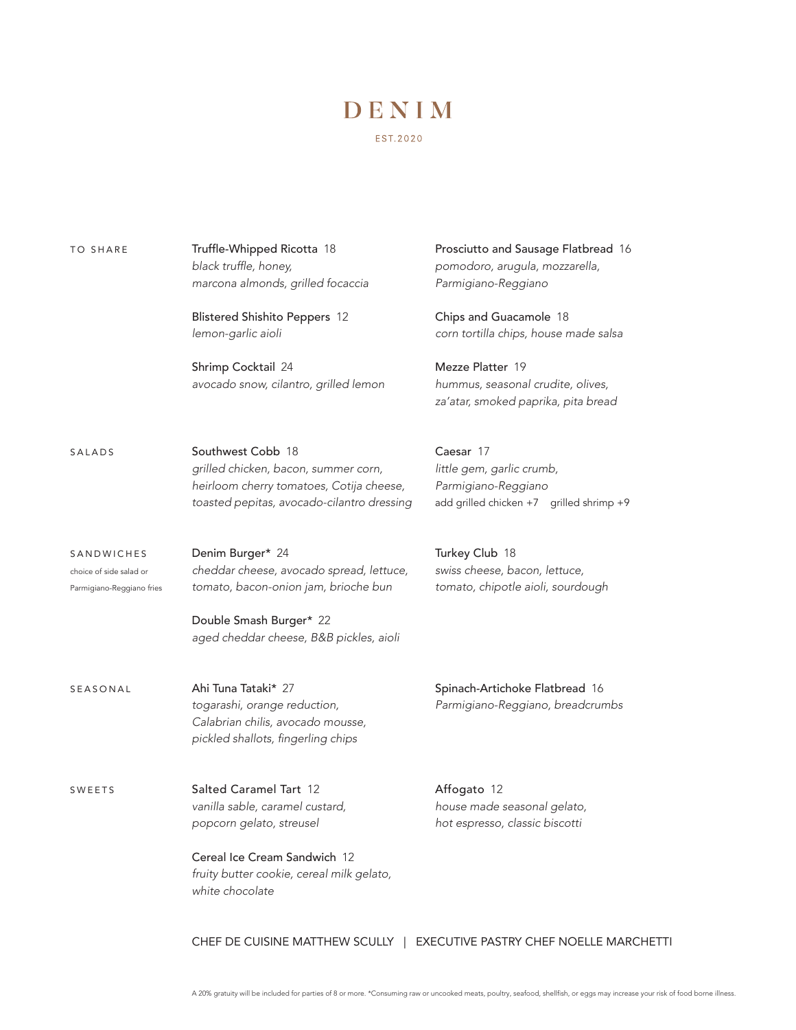## DENIM

## EST.2020

| TO SHARE                                                           | Truffle-Whipped Ricotta 18<br>black truffle, honey,<br>marcona almonds, grilled focaccia                                                                                              | Prosciutto and Sausage Flatbread 16<br>pomodoro, arugula, mozzarella,<br>Parmigiano-Reggiano              |
|--------------------------------------------------------------------|---------------------------------------------------------------------------------------------------------------------------------------------------------------------------------------|-----------------------------------------------------------------------------------------------------------|
|                                                                    | Blistered Shishito Peppers 12<br>lemon-garlic aioli                                                                                                                                   | Chips and Guacamole 18<br>corn tortilla chips, house made salsa                                           |
|                                                                    | Shrimp Cocktail 24<br>avocado snow, cilantro, grilled lemon                                                                                                                           | Mezze Platter 19<br>hummus, seasonal crudite, olives,<br>za'atar, smoked paprika, pita bread              |
| SALADS                                                             | Southwest Cobb 18<br>grilled chicken, bacon, summer corn,<br>heirloom cherry tomatoes, Cotija cheese,<br>toasted pepitas, avocado-cilantro dressing                                   | Caesar 17<br>little gem, garlic crumb,<br>Parmigiano-Reggiano<br>add grilled chicken +7 grilled shrimp +9 |
| SANDWICHES<br>choice of side salad or<br>Parmigiano-Reggiano fries | Denim Burger* 24<br>cheddar cheese, avocado spread, lettuce,<br>tomato, bacon-onion jam, brioche bun                                                                                  | Turkey Club 18<br>swiss cheese, bacon, lettuce,<br>tomato, chipotle aioli, sourdough                      |
|                                                                    | Double Smash Burger* 22<br>aged cheddar cheese, B&B pickles, aioli                                                                                                                    |                                                                                                           |
| SEASONAL                                                           | Ahi Tuna Tataki* 27<br>togarashi, orange reduction,<br>Calabrian chilis, avocado mousse,<br>pickled shallots, fingerling chips                                                        | Spinach-Artichoke Flatbread 16<br>Parmigiano-Reggiano, breadcrumbs                                        |
| SWEETS                                                             | Salted Caramel Tart 12<br>vanilla sable, caramel custard,<br>popcorn gelato, streusel<br>Cereal Ice Cream Sandwich 12<br>fruity butter cookie, cereal milk gelato,<br>white chocolate | Affogato 12<br>house made seasonal gelato,<br>hot espresso, classic biscotti                              |
|                                                                    |                                                                                                                                                                                       |                                                                                                           |

CHEF DE CUISINE MATTHEW SCULLY | EXECUTIVE PASTRY CHEF NOELLE MARCHETTI